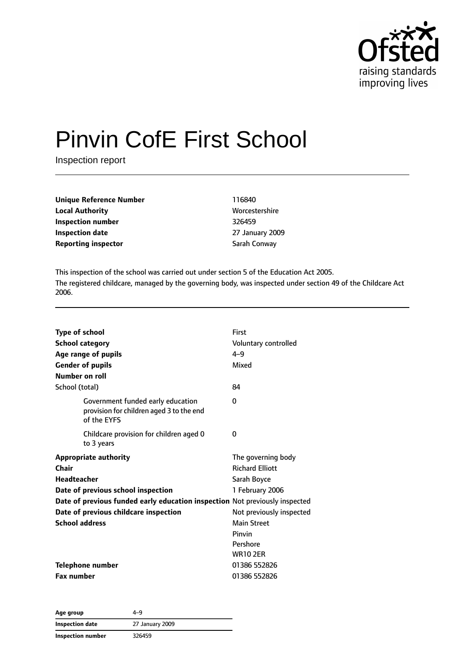

# Pinvin CofE First School

Inspection report

| <b>Unique Reference Number</b> | 116840          |
|--------------------------------|-----------------|
| <b>Local Authority</b>         | Worcestershire  |
| Inspection number              | 326459          |
| <b>Inspection date</b>         | 27 January 2009 |
| <b>Reporting inspector</b>     | Sarah Conway    |

This inspection of the school was carried out under section 5 of the Education Act 2005. The registered childcare, managed by the governing body, was inspected under section 49 of the Childcare Act 2006.

| <b>Type of school</b><br><b>School category</b><br>Age range of pupils<br><b>Gender of pupils</b><br>Number on roll | First<br>Voluntary controlled<br>$4 - 9$<br>Mixed |  |
|---------------------------------------------------------------------------------------------------------------------|---------------------------------------------------|--|
| School (total)                                                                                                      | 84                                                |  |
| Government funded early education<br>provision for children aged 3 to the end<br>of the EYFS                        | 0                                                 |  |
| Childcare provision for children aged 0<br>to 3 years                                                               | 0                                                 |  |
| <b>Appropriate authority</b>                                                                                        | The governing body                                |  |
| Chair                                                                                                               | <b>Richard Elliott</b>                            |  |
| Headteacher                                                                                                         | Sarah Boyce                                       |  |
| Date of previous school inspection                                                                                  | 1 February 2006                                   |  |
| Date of previous funded early education inspection Not previously inspected                                         |                                                   |  |
| Date of previous childcare inspection                                                                               | Not previously inspected                          |  |
| <b>School address</b>                                                                                               | <b>Main Street</b>                                |  |
|                                                                                                                     | Pinvin                                            |  |
|                                                                                                                     | Pershore                                          |  |
|                                                                                                                     | <b>WR10 2ER</b>                                   |  |
| <b>Telephone number</b>                                                                                             | 01386 552826                                      |  |
| <b>Fax number</b>                                                                                                   | 01386 552826                                      |  |

| Age group                | 4-9             |
|--------------------------|-----------------|
| Inspection date          | 27 January 2009 |
| <b>Inspection number</b> | 326459          |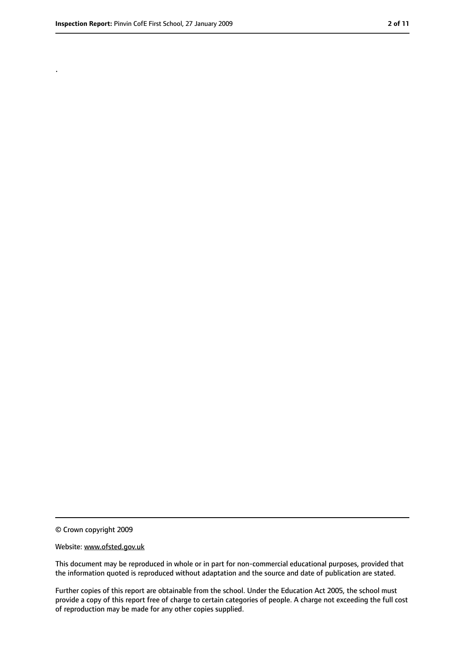.

<sup>©</sup> Crown copyright 2009

Website: www.ofsted.gov.uk

This document may be reproduced in whole or in part for non-commercial educational purposes, provided that the information quoted is reproduced without adaptation and the source and date of publication are stated.

Further copies of this report are obtainable from the school. Under the Education Act 2005, the school must provide a copy of this report free of charge to certain categories of people. A charge not exceeding the full cost of reproduction may be made for any other copies supplied.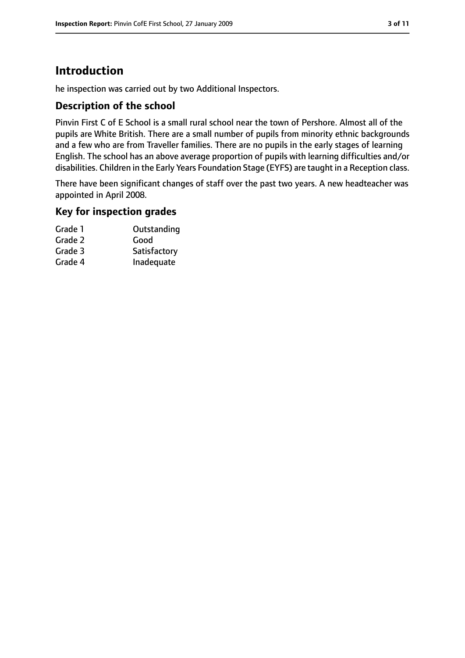# **Introduction**

he inspection was carried out by two Additional Inspectors.

## **Description of the school**

Pinvin First C of E School is a small rural school near the town of Pershore. Almost all of the pupils are White British. There are a small number of pupils from minority ethnic backgrounds and a few who are from Traveller families. There are no pupils in the early stages of learning English. The school has an above average proportion of pupils with learning difficulties and/or disabilities. Children in the Early Years Foundation Stage (EYFS) are taught in a Reception class.

There have been significant changes of staff over the past two years. A new headteacher was appointed in April 2008.

### **Key for inspection grades**

| Outstanding  |
|--------------|
| Good         |
| Satisfactory |
| Inadequate   |
|              |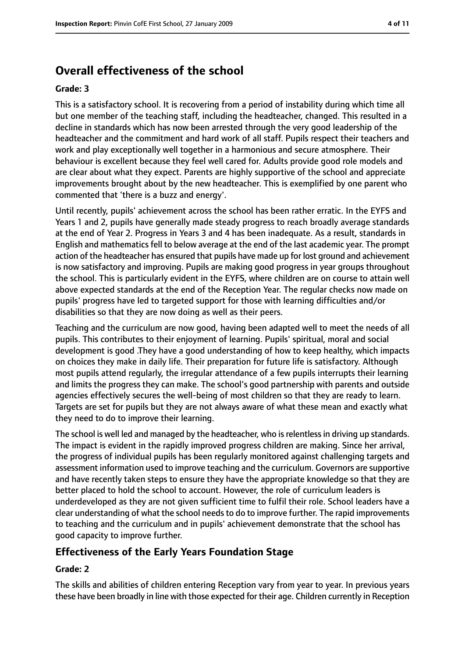# **Overall effectiveness of the school**

#### **Grade: 3**

This is a satisfactory school. It is recovering from a period of instability during which time all but one member of the teaching staff, including the headteacher, changed. This resulted in a decline in standards which has now been arrested through the very good leadership of the headteacher and the commitment and hard work of all staff. Pupils respect their teachers and work and play exceptionally well together in a harmonious and secure atmosphere. Their behaviour is excellent because they feel well cared for. Adults provide good role models and are clear about what they expect. Parents are highly supportive of the school and appreciate improvements brought about by the new headteacher. This is exemplified by one parent who commented that 'there is a buzz and energy'.

Until recently, pupils' achievement across the school has been rather erratic. In the EYFS and Years 1 and 2, pupils have generally made steady progress to reach broadly average standards at the end of Year 2. Progress in Years 3 and 4 has been inadequate. As a result, standards in English and mathematics fell to below average at the end of the last academic year. The prompt action of the headteacher has ensured that pupils have made up for lost ground and achievement is now satisfactory and improving. Pupils are making good progress in year groups throughout the school. This is particularly evident in the EYFS, where children are on course to attain well above expected standards at the end of the Reception Year. The regular checks now made on pupils' progress have led to targeted support for those with learning difficulties and/or disabilities so that they are now doing as well as their peers.

Teaching and the curriculum are now good, having been adapted well to meet the needs of all pupils. This contributes to their enjoyment of learning. Pupils' spiritual, moral and social development is good .They have a good understanding of how to keep healthy, which impacts on choices they make in daily life. Their preparation for future life is satisfactory. Although most pupils attend regularly, the irregular attendance of a few pupils interrupts their learning and limits the progress they can make. The school's good partnership with parents and outside agencies effectively secures the well-being of most children so that they are ready to learn. Targets are set for pupils but they are not always aware of what these mean and exactly what they need to do to improve their learning.

The school is well led and managed by the headteacher, who is relentless in driving up standards. The impact is evident in the rapidly improved progress children are making. Since her arrival, the progress of individual pupils has been regularly monitored against challenging targets and assessment information used to improve teaching and the curriculum. Governors are supportive and have recently taken steps to ensure they have the appropriate knowledge so that they are better placed to hold the school to account. However, the role of curriculum leaders is underdeveloped as they are not given sufficient time to fulfil their role. School leaders have a clear understanding of what the school needsto do to improve further. The rapid improvements to teaching and the curriculum and in pupils' achievement demonstrate that the school has good capacity to improve further.

## **Effectiveness of the Early Years Foundation Stage**

#### **Grade: 2**

The skills and abilities of children entering Reception vary from year to year. In previous years these have been broadly in line with those expected for their age. Children currently in Reception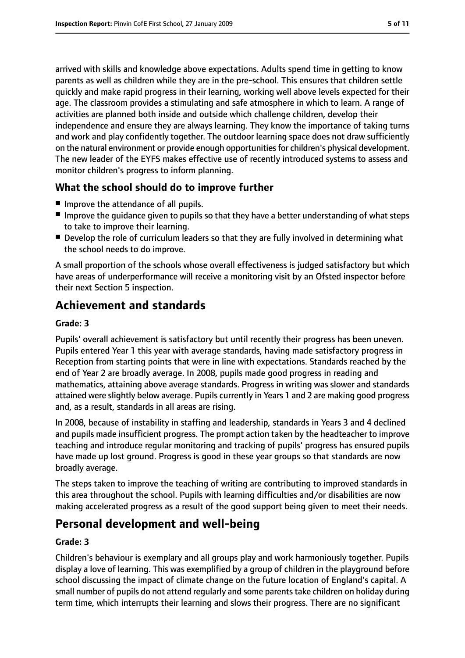arrived with skills and knowledge above expectations. Adults spend time in getting to know parents as well as children while they are in the pre-school. This ensures that children settle quickly and make rapid progress in their learning, working well above levels expected for their age. The classroom provides a stimulating and safe atmosphere in which to learn. A range of activities are planned both inside and outside which challenge children, develop their independence and ensure they are always learning. They know the importance of taking turns and work and play confidently together. The outdoor learning space does not draw sufficiently on the natural environment or provide enough opportunities for children's physical development. The new leader of the EYFS makes effective use of recently introduced systems to assess and monitor children's progress to inform planning.

### **What the school should do to improve further**

- Improve the attendance of all pupils.
- Improve the quidance given to pupils so that they have a better understanding of what steps to take to improve their learning.
- Develop the role of curriculum leaders so that they are fully involved in determining what the school needs to do improve.

A small proportion of the schools whose overall effectiveness is judged satisfactory but which have areas of underperformance will receive a monitoring visit by an Ofsted inspector before their next Section 5 inspection.

# **Achievement and standards**

#### **Grade: 3**

Pupils' overall achievement is satisfactory but until recently their progress has been uneven. Pupils entered Year 1 this year with average standards, having made satisfactory progress in Reception from starting points that were in line with expectations. Standards reached by the end of Year 2 are broadly average. In 2008, pupils made good progress in reading and mathematics, attaining above average standards. Progress in writing was slower and standards attained were slightly below average. Pupils currently in Years 1 and 2 are making good progress and, as a result, standards in all areas are rising.

In 2008, because of instability in staffing and leadership, standards in Years 3 and 4 declined and pupils made insufficient progress. The prompt action taken by the headteacher to improve teaching and introduce regular monitoring and tracking of pupils' progress has ensured pupils have made up lost ground. Progress is good in these year groups so that standards are now broadly average.

The steps taken to improve the teaching of writing are contributing to improved standards in this area throughout the school. Pupils with learning difficulties and/or disabilities are now making accelerated progress as a result of the good support being given to meet their needs.

# **Personal development and well-being**

#### **Grade: 3**

Children's behaviour is exemplary and all groups play and work harmoniously together. Pupils display a love of learning. This was exemplified by a group of children in the playground before school discussing the impact of climate change on the future location of England's capital. A small number of pupils do not attend regularly and some parentstake children on holiday during term time, which interrupts their learning and slows their progress. There are no significant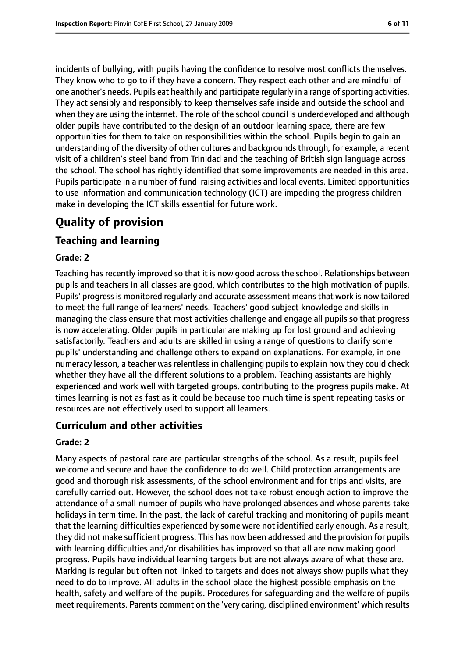incidents of bullying, with pupils having the confidence to resolve most conflicts themselves. They know who to go to if they have a concern. They respect each other and are mindful of one another's needs. Pupils eat healthily and participate regularly in a range ofsporting activities. They act sensibly and responsibly to keep themselves safe inside and outside the school and when they are using the internet. The role of the school council is underdeveloped and although older pupils have contributed to the design of an outdoor learning space, there are few opportunities for them to take on responsibilities within the school. Pupils begin to gain an understanding of the diversity of other cultures and backgrounds through, for example, a recent visit of a children's steel band from Trinidad and the teaching of British sign language across the school. The school has rightly identified that some improvements are needed in this area. Pupils participate in a number of fund-raising activities and local events. Limited opportunities to use information and communication technology (ICT) are impeding the progress children make in developing the ICT skills essential for future work.

# **Quality of provision**

### **Teaching and learning**

#### **Grade: 2**

Teaching has recently improved so that it is now good across the school. Relationships between pupils and teachers in all classes are good, which contributes to the high motivation of pupils. Pupils' progressis monitored regularly and accurate assessment meansthat work is now tailored to meet the full range of learners' needs. Teachers' good subject knowledge and skills in managing the class ensure that most activities challenge and engage all pupils so that progress is now accelerating. Older pupils in particular are making up for lost ground and achieving satisfactorily. Teachers and adults are skilled in using a range of questions to clarify some pupils' understanding and challenge others to expand on explanations. For example, in one numeracy lesson, a teacher was relentless in challenging pupils to explain how they could check whether they have all the different solutions to a problem. Teaching assistants are highly experienced and work well with targeted groups, contributing to the progress pupils make. At times learning is not as fast as it could be because too much time is spent repeating tasks or resources are not effectively used to support all learners.

#### **Curriculum and other activities**

#### **Grade: 2**

Many aspects of pastoral care are particular strengths of the school. As a result, pupils feel welcome and secure and have the confidence to do well. Child protection arrangements are good and thorough risk assessments, of the school environment and for trips and visits, are carefully carried out. However, the school does not take robust enough action to improve the attendance of a small number of pupils who have prolonged absences and whose parents take holidays in term time. In the past, the lack of careful tracking and monitoring of pupils meant that the learning difficulties experienced by some were not identified early enough. As a result, they did not make sufficient progress. This has now been addressed and the provision for pupils with learning difficulties and/or disabilities has improved so that all are now making good progress. Pupils have individual learning targets but are not always aware of what these are. Marking is regular but often not linked to targets and does not always show pupils what they need to do to improve. All adults in the school place the highest possible emphasis on the health, safety and welfare of the pupils. Procedures for safeguarding and the welfare of pupils meet requirements. Parents comment on the 'very caring, disciplined environment' which results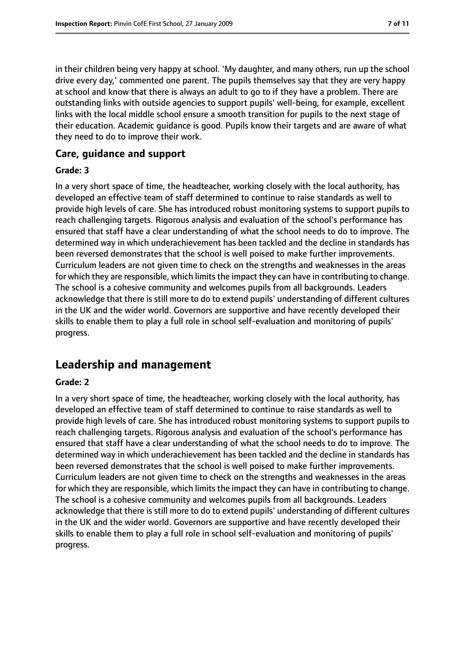in their children being very happy at school. 'My daughter, and many others, run up the school drive every day,' commented one parent. The pupils themselves say that they are very happy at school and know that there is always an adult to go to if they have a problem. There are outstanding links with outside agencies to support pupils' well-being, for example, excellent links with the local middle school ensure a smooth transition for pupils to the next stage of their education. Academic guidance is good. Pupils know their targets and are aware of what they need to do to improve their work.

#### **Care, guidance and support**

#### **Grade: 3**

In a very short space of time, the headteacher, working closely with the local authority, has developed an effective team of staff determined to continue to raise standards as well to provide high levels of care. She has introduced robust monitoring systems to support pupils to reach challenging targets. Rigorous analysis and evaluation of the school's performance has ensured that staff have a clear understanding of what the school needs to do to improve. The determined way in which underachievement has been tackled and the decline in standards has been reversed demonstrates that the school is well poised to make further improvements. Curriculum leaders are not given time to check on the strengths and weaknesses in the areas for which they are responsible, which limits the impact they can have in contributing to change. The school is a cohesive community and welcomes pupils from all backgrounds. Leaders acknowledge that there is still more to do to extend pupils' understanding of different cultures in the UK and the wider world. Governors are supportive and have recently developed their skills to enable them to play a full role in school self-evaluation and monitoring of pupils' progress.

# **Leadership and management**

#### **Grade: 2**

In a very short space of time, the headteacher, working closely with the local authority, has developed an effective team of staff determined to continue to raise standards as well to provide high levels of care. She has introduced robust monitoring systems to support pupils to reach challenging targets. Rigorous analysis and evaluation of the school's performance has ensured that staff have a clear understanding of what the school needs to do to improve. The determined way in which underachievement has been tackled and the decline in standards has been reversed demonstrates that the school is well poised to make further improvements. Curriculum leaders are not given time to check on the strengths and weaknesses in the areas for which they are responsible, which limits the impact they can have in contributing to change. The school is a cohesive community and welcomes pupils from all backgrounds. Leaders acknowledge that there is still more to do to extend pupils' understanding of different cultures in the UK and the wider world. Governors are supportive and have recently developed their skills to enable them to play a full role in school self-evaluation and monitoring of pupils' progress.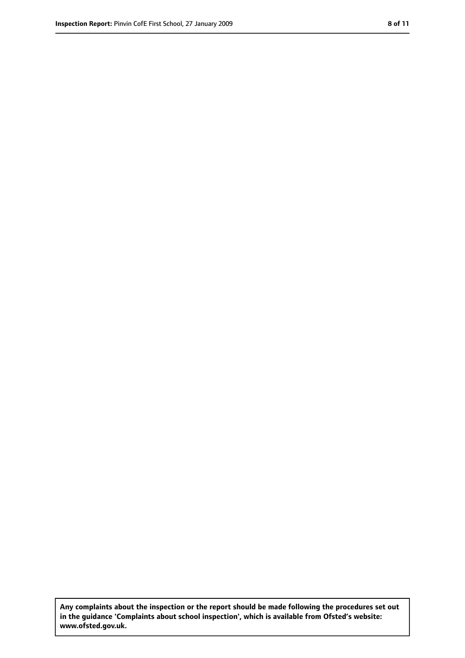**Any complaints about the inspection or the report should be made following the procedures set out in the guidance 'Complaints about school inspection', which is available from Ofsted's website: www.ofsted.gov.uk.**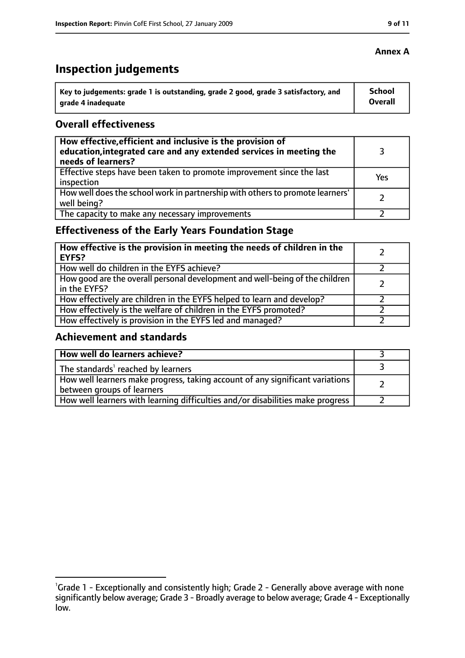# **Inspection judgements**

| $\degree$ Key to judgements: grade 1 is outstanding, grade 2 good, grade 3 satisfactory, and | School  |
|----------------------------------------------------------------------------------------------|---------|
| arade 4 inadequate                                                                           | Overall |

## **Overall effectiveness**

| How effective, efficient and inclusive is the provision of<br>education, integrated care and any extended services in meeting the<br>needs of learners? |     |
|---------------------------------------------------------------------------------------------------------------------------------------------------------|-----|
| Effective steps have been taken to promote improvement since the last<br>inspection                                                                     | Yes |
| How well does the school work in partnership with others to promote learners'<br>well being?                                                            |     |
| The capacity to make any necessary improvements                                                                                                         |     |

# **Effectiveness of the Early Years Foundation Stage**

| How effective is the provision in meeting the needs of children in the<br>EYFS?              |  |
|----------------------------------------------------------------------------------------------|--|
| How well do children in the EYFS achieve?                                                    |  |
| How good are the overall personal development and well-being of the children<br>in the EYFS? |  |
| How effectively are children in the EYFS helped to learn and develop?                        |  |
| How effectively is the welfare of children in the EYFS promoted?                             |  |
| How effectively is provision in the EYFS led and managed?                                    |  |

#### **Achievement and standards**

| How well do learners achieve?                                                                               |  |
|-------------------------------------------------------------------------------------------------------------|--|
| The standards <sup>1</sup> reached by learners                                                              |  |
| How well learners make progress, taking account of any significant variations<br>between groups of learners |  |
| How well learners with learning difficulties and/or disabilities make progress                              |  |

## **Annex A**

<sup>&</sup>lt;sup>1</sup>Grade 1 - Exceptionally and consistently high; Grade 2 - Generally above average with none significantly below average; Grade 3 - Broadly average to below average; Grade 4 - Exceptionally low.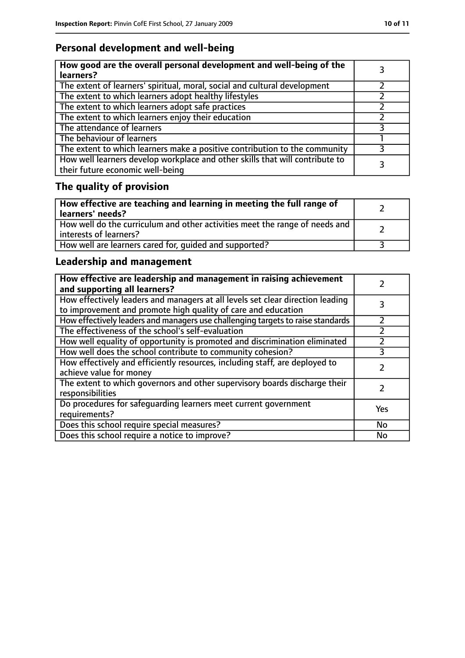# **Personal development and well-being**

| How good are the overall personal development and well-being of the<br>learners?                                 |  |
|------------------------------------------------------------------------------------------------------------------|--|
| The extent of learners' spiritual, moral, social and cultural development                                        |  |
| The extent to which learners adopt healthy lifestyles                                                            |  |
| The extent to which learners adopt safe practices                                                                |  |
| The extent to which learners enjoy their education                                                               |  |
| The attendance of learners                                                                                       |  |
| The behaviour of learners                                                                                        |  |
| The extent to which learners make a positive contribution to the community                                       |  |
| How well learners develop workplace and other skills that will contribute to<br>their future economic well-being |  |

# **The quality of provision**

| How effective are teaching and learning in meeting the full range of<br>learners' needs?                |  |
|---------------------------------------------------------------------------------------------------------|--|
| How well do the curriculum and other activities meet the range of needs and<br>  interests of learners? |  |
| How well are learners cared for, quided and supported?                                                  |  |

# **Leadership and management**

| How effective are leadership and management in raising achievement<br>and supporting all learners?                                              |     |
|-------------------------------------------------------------------------------------------------------------------------------------------------|-----|
| How effectively leaders and managers at all levels set clear direction leading<br>to improvement and promote high quality of care and education |     |
| How effectively leaders and managers use challenging targets to raise standards                                                                 |     |
| The effectiveness of the school's self-evaluation                                                                                               |     |
| How well equality of opportunity is promoted and discrimination eliminated                                                                      |     |
| How well does the school contribute to community cohesion?                                                                                      | 3   |
| How effectively and efficiently resources, including staff, are deployed to<br>achieve value for money                                          |     |
| The extent to which governors and other supervisory boards discharge their<br>responsibilities                                                  |     |
| Do procedures for safequarding learners meet current government<br>requirements?                                                                | Yes |
| Does this school require special measures?                                                                                                      | No  |
| Does this school require a notice to improve?                                                                                                   | No  |